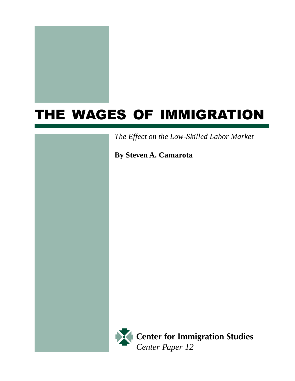

# THE WAGES OF IMMIGRATION

*The Effect on the Low-Skilled Labor Market*

**By Steven A. Camarota**



Center for Immigration Studies *Center Paper 12*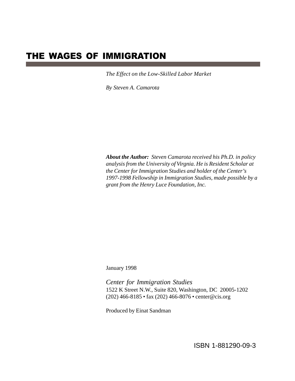# THE WAGES OF IMMIGRATION

*The Effect on the Low-Skilled Labor Market*

*By Steven A. Camarota*

*About the Author: Steven Camarota received his Ph.D. in policy analysis from the University of Virgnia. He is Resident Scholar at the Center for Immigration Studies and holder of the Center's 1997-1998 Fellowship in Immigration Studies, made possible by a grant from the Henry Luce Foundation, Inc.*

January 1998

*Center for Immigration Studies* 1522 K Street N.W., Suite 820, Washington, DC 20005-1202 (202) 466-8185 • fax (202) 466-8076 • center@cis.org

Produced by Einat Sandman

ISBN 1-881290-09-3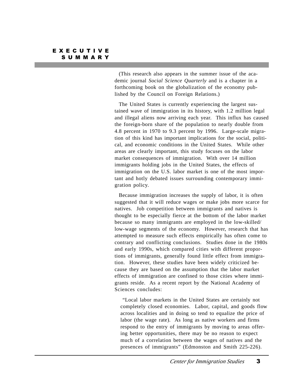(This research also appears in the summer issue of the academic journal *Social Science Quarterly* and is a chapter in a forthcoming book on the globalization of the economy published by the Council on Foreign Relations.)

 The United States is currently experiencing the largest sustained wave of immigration in its history, with 1.2 million legal and illegal aliens now arriving each year. This influx has caused the foreign-born share of the population to nearly double from 4.8 percent in 1970 to 9.3 percent by 1996. Large-scale migration of this kind has important implications for the social, political, and economic conditions in the United States. While other areas are clearly important, this study focuses on the labor market consequences of immigration. With over 14 million immigrants holding jobs in the United States, the effects of immigration on the U.S. labor market is one of the most important and hotly debated issues surrounding contemporary immigration policy.

 Because immigration increases the supply of labor, it is often suggested that it will reduce wages or make jobs more scarce for natives. Job competition between immigrants and natives is thought to be especially fierce at the bottom of the labor market because so many immigrants are employed in the low-skilled/ low-wage segments of the economy. However, research that has attempted to measure such effects empirically has often come to contrary and conflicting conclusions. Studies done in the 1980s and early 1990s, which compared cities with different proportions of immigrants, generally found little effect from immigration. However, these studies have been widely criticized because they are based on the assumption that the labor market effects of immigration are confined to those cities where immigrants reside. As a recent report by the National Academy of Sciences concludes:

 "Local labor markets in the United States are certainly not completely closed economies. Labor, capital, and goods flow across localities and in doing so tend to equalize the price of labor (the wage rate). As long as native workers and firms respond to the entry of immigrants by moving to areas offering better opportunities, there may be no reason to expect much of a correlation between the wages of natives and the presences of immigrants" (Edmonston and Smith 225-226).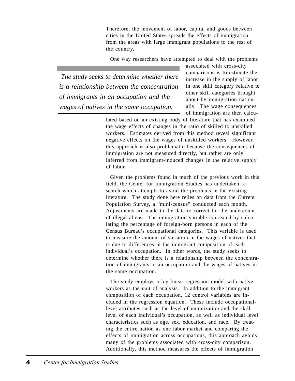Therefore, the movement of labor, capital and goods between cities in the United States spreads the effects of immigration from the areas with large immigrant populations to the rest of the country.

One way researchers have attempted to deal with the problems

 *The study seeks to determine whether there is a relationship between the concentration of immigrants in an occupation and the wages of natives in the same occupation.*

associated with cross-city comparisons is to estimate the increase in the supply of labor in one skill category relative to other skill categories brought about by immigration nationally. The wage consequences of immigration are then calcu-

lated based on an existing body of literature that has examined the wage effects of changes in the ratio of skilled to unskilled workers. Estimates derived from this method reveal significant negative effects on the wages of unskilled workers. However, this approach is also problematic because the consequences of immigration are not measured directly, but rather are only inferred from immigrant-induced changes in the relative supply of labor.

 Given the problems found in much of the previous work in this field, the Center for Immigration Studies has undertaken research which attempts to avoid the problems in the existing literature. The study done here relies on data from the Current Population Survey, a "mini-census" conducted each month. Adjustments are made to the data to correct for the undercount of illegal aliens. The immigration variable is created by calculating the percentage of foreign-born persons in each of the Census Bureau's occupational categories. This variable is used to measure the amount of variation in the wages of natives that is due to differences in the immigrant composition of each individual's occupation. In other words, the study seeks to determine whether there is a relationship between the concentration of immigrants in an occupation and the wages of natives in the same occupation.

 The study employs a log-linear regression model with native workers as the unit of analysis. In addition to the immigrant composition of each occupation, 12 control variables are included in the regression equation. These include occupationallevel attributes such as the level of unionization and the skill level of each individual's occupation, as well as individual level characteristics such as age, sex, education, and race. By treating the entire nation as one labor market and comparing the effects of immigration across occupations, this approach avoids many of the problems associated with cross-city comparison. Additionally, this method measures the effects of immigration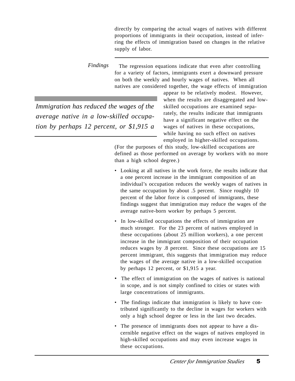directly by comparing the actual wages of natives with different proportions of immigrants in their occupation, instead of inferring the effects of immigration based on changes in the relative supply of labor.

 The regression equations indicate that even after controlling for a variety of factors, immigrants exert a downward pressure on both the weekly and hourly wages of natives. When all natives are considered together, the wage effects of immigration *Findings*

*Immigration has reduced the wages of the average native in a low-skilled occupation by perhaps 12 percent, or \$1,915 a* appear to be relatively modest. However, when the results are disaggregated and lowskilled occupations are examined separately, the results indicate that immigrants have a significant negative effect on the wages of natives in these occupations, while having no such effect on natives employed in higher-skilled occupations.

(For the purposes of this study, low-skilled occupations are defined as those performed on average by workers with no more than a high school degree.)

- Looking at all natives in the work force, the results indicate that a one percent increase in the immigrant composition of an individual's occupation reduces the weekly wages of natives in the same occupation by about .5 percent. Since roughly 10 percent of the labor force is composed of immigrants, these findings suggest that immigration may reduce the wages of the average native-born worker by perhaps 5 percent.
- In low-skilled occupations the effects of immigration are much stronger. For the 23 percent of natives employed in these occupations (about 25 million workers), a one percent increase in the immigrant composition of their occupation reduces wages by .8 percent. Since these occupations are 15 percent immigrant, this suggests that immigration may reduce the wages of the average native in a low-skilled occupation by perhaps 12 percent, or \$1,915 a year.
- The effect of immigration on the wages of natives is national in scope, and is not simply confined to cities or states with large concentrations of immigrants.
- The findings indicate that immigration is likely to have contributed significantly to the decline in wages for workers with only a high school degree or less in the last two decades.
- The presence of immigrants does not appear to have a discernible negative effect on the wages of natives employed in high-skilled occupations and may even increase wages in these occupations.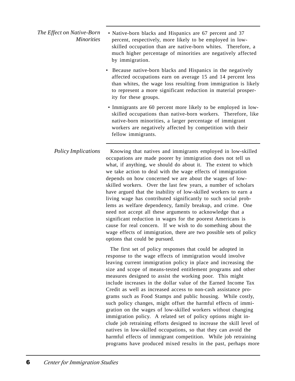| The Effect on Native-Born<br><i>Minorities</i> | • Native-born blacks and Hispanics are 67 percent and 37<br>percent, respectively, more likely to be employed in low-<br>skilled occupation than are native-born whites. Therefore, a<br>much higher percentage of minorities are negatively affected<br>by immigration.                  |
|------------------------------------------------|-------------------------------------------------------------------------------------------------------------------------------------------------------------------------------------------------------------------------------------------------------------------------------------------|
|                                                | • Because native-born blacks and Hispanics in the negatively<br>affected occupations earn on average 15 and 14 percent less<br>than whites, the wage loss resulting from immigration is likely<br>to represent a more significant reduction in material prosper-<br>ity for these groups. |

 • Immigrants are 60 percent more likely to be employed in lowskilled occupations than native-born workers. Therefore, like native-born minorities, a larger percentage of immigrant workers are negatively affected by competition with their fellow immigrants.

 Knowing that natives and immigrants employed in low-skilled occupations are made poorer by immigration does not tell us what, if anything, we should do about it. The extent to which we take action to deal with the wage effects of immigration depends on how concerned we are about the wages of lowskilled workers. Over the last few years, a number of scholars have argued that the inability of low-skilled workers to earn a living wage has contributed significantly to such social problems as welfare dependency, family breakup, and crime. One need not accept all these arguments to acknowledge that a significant reduction in wages for the poorest Americans is cause for real concern. If we wish to do something about the wage effects of immigration, there are two possible sets of policy options that could be pursued. *Policy Implications*

> The first set of policy responses that could be adopted in response to the wage effects of immigration would involve leaving current immigration policy in place and increasing the size and scope of means-tested entitlement programs and other measures designed to assist the working poor. This might include increases in the dollar value of the Earned Income Tax Credit as well as increased access to non-cash assistance programs such as Food Stamps and public housing. While costly, such policy changes, might offset the harmful effects of immigration on the wages of low-skilled workers without changing immigration policy. A related set of policy options might include job retraining efforts designed to increase the skill level of natives in low-skilled occupations, so that they can avoid the harmful effects of immigrant competition. While job retraining programs have produced mixed results in the past, perhaps more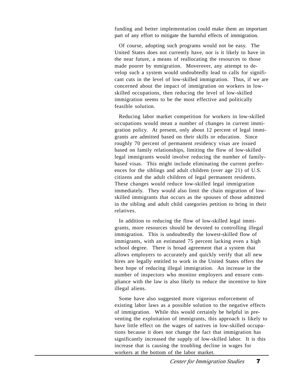funding and better implementation could make them an important part of any effort to mitigate the harmful effects of immigration.

 Of course, adopting such programs would not be easy. The United States does not currently have, nor is it likely to have in the near future, a means of reallocating the resources to those made poorer by mmigration. Moverover, any attempt to develop such a system would undoubtedly lead to calls for significant cuts in the level of low-skilled immigration. Thus, if we are concerned about the impact of immigration on workers in lowskilled occupations, then reducing the level of low-skilled immigration seems to be the most effective and politically feasible solution.

 Reducing labor market competition for workers in low-skilled occupations would mean a number of changes in current immigration policy. At present, only about 12 percent of legal immigrants are admitted based on their skills or education. Since roughly 70 percent of permanent residency visas are issued based on family relationships, limiting the flow of low-skilled legal immigrants would involve reducing the number of familybased visas. This might include eliminating the current preferences for the siblings and adult children (over age 21) of U.S. citizens and the adult children of legal permanent residents. These changes would reduce low-skilled legal immigration immediately. They would also limit the chain migration of lowskilled immigrants that occurs as the spouses of those admitted in the sibling and adult child categories petition to bring in their relatives.

 In addition to reducing the flow of low-skilled legal immigrants, more resources should be devoted to controlling illegal immigration. This is undoubtedly the lowest-skilled flow of immigrants, with an estimated 75 percent lacking even a high school degree. There is broad agreement that a system that allows employers to accurately and quickly verify that all new hires are legally entitled to work in the United States offers the best hope of reducing illegal immigration. An increase in the number of inspectors who monitor employers and ensure compliance with the law is also likely to reduce the incentive to hire illegal aliens.

 Some have also suggested more vigorous enforcement of existing labor laws as a possible solution to the negative effects of immigration. While this would certainly be helpful in preventing the exploitation of immigrants, this approach is likely to have little effect on the wages of natives in low-skilled occupations because it does not change the fact that immigration has significantly increased the supply of low-skilled labor. It is this increase that is causing the troubling decline in wages for workers at the bottom of the labor market.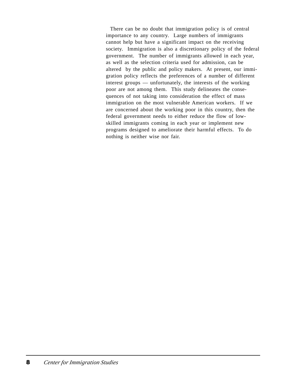There can be no doubt that immigration policy is of central importance to any country. Large numbers of immigrants cannot help but have a significant impact on the receiving society. Immigration is also a discretionary policy of the federal government. The number of immigrants allowed in each year, as well as the selection criteria used for admission, can be altered by the public and policy makers. At present, our immigration policy reflects the preferences of a number of different interest groups — unfortunately, the interests of the working poor are not among them. This study delineates the consequences of not taking into consideration the effect of mass immigration on the most vulnerable American workers. If we are concerned about the working poor in this country, then the federal government needs to either reduce the flow of lowskilled immigrants coming in each year or implement new programs designed to ameliorate their harmful effects. To do nothing is neither wise nor fair.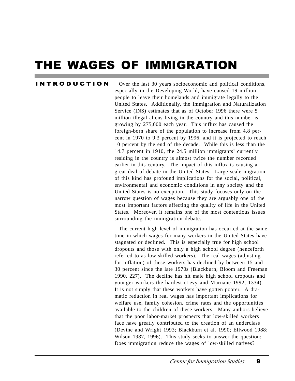# THE WAGES OF IMMIGRATION

#### I N T R O D U C T I O N

 Over the last 30 years socioeconomic and political conditions, especially in the Developing World, have caused 19 million people to leave their homelands and immigrate legally to the United States. Additionally, the Immigration and Naturalization Service (INS) estimates that as of October 1996 there were 5 million illegal aliens living in the country and this number is growing by 275,000 each year. This influx has caused the foreign-born share of the population to increase from 4.8 percent in 1970 to 9.3 percent by 1996, and it is projected to reach 10 percent by the end of the decade. While this is less than the 14.7 percent in 1910, the 24.5 million immigrants<sup>1</sup> currently residing in the country is almost twice the number recorded earlier in this century. The impact of this influx is causing a great deal of debate in the United States. Large scale migration of this kind has profound implications for the social, political, environmental and economic conditions in any society and the United States is no exception. This study focuses only on the narrow question of wages because they are arguably one of the most important factors affecting the quality of life in the United States. Moreover, it remains one of the most contentious issues surrounding the immigration debate.

 The current high level of immigration has occurred at the same time in which wages for many workers in the United States have stagnated or declined. This is especially true for high school dropouts and those with only a high school degree (henceforth referred to as low-skilled workers). The real wages (adjusting for inflation) of these workers has declined by between 15 and 30 percent since the late 1970s (Blackburn, Bloom and Freeman 1990, 227). The decline has hit male high school dropouts and younger workers the hardest (Levy and Murnane 1992, 1334). It is not simply that these workers have gotten poorer. A dramatic reduction in real wages has important implications for welfare use, family cohesion, crime rates and the opportunities available to the children of these workers. Many authors believe that the poor labor-market prospects that low-skilled workers face have greatly contributed to the creation of an underclass (Devine and Wright 1993; Blackburn et al. 1990; Ellwood 1988; Wilson 1987, 1996). This study seeks to answer the question: Does immigration reduce the wages of low-skilled natives?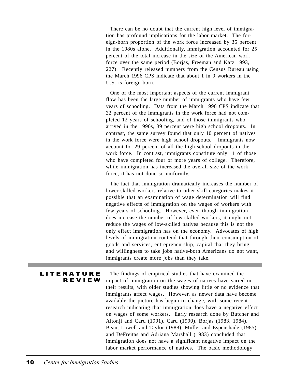There can be no doubt that the current high level of immigration has profound implications for the labor market. The foreign-born proportion of the work force increased by 35 percent in the 1980s alone. Additionally, immigration accounted for 25 percent of the total increase in the size of the American work force over the same period (Borjas, Freeman and Katz 1993, 227). Recently released numbers from the Census Bureau using the March 1996 CPS indicate that about 1 in 9 workers in the U.S. is foreign-born.

 One of the most important aspects of the current immigrant flow has been the large number of immigrants who have few years of schooling. Data from the March 1996 CPS indicate that 32 percent of the immigrants in the work force had not completed 12 years of schooling, and of those immigrants who arrived in the 1990s, 39 percent were high school dropouts. In contrast, the same survey found that only 10 percent of natives in the work force were high school dropouts. Immigrants now account for 29 percent of all the high-school dropouts in the work force. In contrast, immigrants constitute only 11 of those who have completed four or more years of college. Therefore, while immigration has increased the overall size of the work force, it has not done so uniformly.

 The fact that immigration dramatically increases the number of lower-skilled workers relative to other skill categories makes it possible that an examination of wage determination will find negative effects of immigration on the wages of workers with few years of schooling. However, even though immigration does increase the number of low-skilled workers, it might not reduce the wages of low-skilled natives because this is not the only effect immigration has on the economy. Advocates of high levels of immigration contend that through their consumption of goods and services, entrepreneurship, capital that they bring, and willingness to take jobs native-born Americans do not want, immigrants create more jobs than they take.

The findings of empirical studies that have examined the impact of immigration on the wages of natives have varied in their results, with older studies showing little or no evidence that immigrants affect wages. However, as newer data have become available the picture has begun to change, with some recent research indicating that immigration does have a negative effect on wages of some workers. Early research done by Butcher and Altonji and Card (1991), Card (1990), Borjas (1983, 1984), Bean, Lowell and Taylor (1988), Muller and Espenshade (1985) and DeFreitas and Adriana Marshall (1983) concluded that immigration does not have a significant negative impact on the labor market performance of natives. The basic methodology **LITERATURE** R E V I E W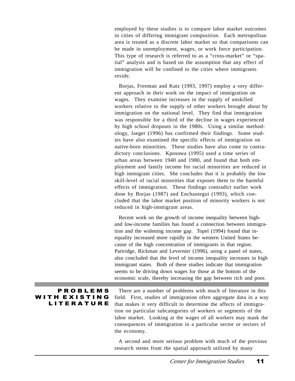employed by these studies is to compare labor market outcomes in cities of differing immigrant composition. Each metropolitan area is treated as a discrete labor market so that comparisons can be made in unemployment, wages, or work force participation. This type of research is referred to as a "cross-market" or "spatial" analysis and is based on the assumption that any effect of immigration will be confined to the cities where immigrants reside.

 Borjas, Freeman and Katz (1993, 1997) employ a very different approach in their work on the impact of immigration on wages. They examine increases in the supply of unskilled workers relative to the supply of other workers brought about by immigration on the national level. They find that immigration was responsible for a third of the decline in wages experienced by high school dropouts in the 1980s. Using a similar methodology, Jaeger (1996) has confirmed their findings. Some studies have also examined the specific effects of immigration on native-born minorities. These studies have also come to contradictory conclusions. Kposowa (1995) used a time series of urban areas between 1940 and 1980, and found that both employment and family income for racial minorities are reduced in high immigrant cities. She concludes that it is probably the low skill-level of racial minorities that exposes them to the harmful effects of immigration. These findings contradict earlier work done by Borjas (1987) and Enchautegui (1993), which concluded that the labor market position of minority workers is not reduced in high-immigrant areas.

 Recent work on the growth of income inequality between highand low-income families has found a connection between immigration and the widening income gap. Topel (1994) found that inequality increased more rapidly in the western United States because of the high concentration of immigrants in that region. Partridge, Rickman and Levernier (1996), using a panel of states, also concluded that the level of income inequality increases in high immigrant states. Both of these studies indicate that immigration seems to be driving down wages for those at the bottom of the economic scale, thereby increasing the gap between rich and poor.

#### **PROBLEMS** WITH EXISTING **LITERATURE**

 There are a number of problems with much of literature in this field. First, studies of immigration often aggregate data in a way that makes it very difficult to determine the affects of immigration on particular subcategories of workers or segments of the labor market. Looking at the wages of all workers may mask the consequences of immigration in a particular sector or sectors of the economy.

 A second and more serious problem with much of the previous research stems from the spatial approach utilized by many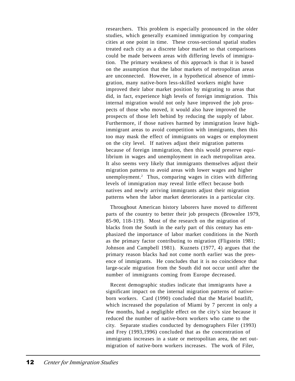researchers. This problem is especially pronounced in the older studies, which generally examined immigration by comparing cities at one point in time. These cross-sectional spatial studies treated each city as a discrete labor market so that comparisons could be made between areas with differing levels of immigration. The primary weakness of this approach is that it is based on the assumption that the labor markets of metropolitan areas are unconnected. However, in a hypothetical absence of immigration, many native-born less-skilled workers might have improved their labor market position by migrating to areas that did, in fact, experience high levels of foreign immigration. This internal migration would not only have improved the job prospects of those who moved, it would also have improved the prospects of those left behind by reducing the supply of labor. Furthermore, if those natives harmed by immigration leave highimmigrant areas to avoid competition with immigrants, then this too may mask the effect of immigrants on wages or employment on the city level. If natives adjust their migration patterns because of foreign immigration, then this would preserve equilibrium in wages and unemployment in each metropolitan area. It also seems very likely that immigrants themselves adjust their migration patterns to avoid areas with lower wages and higher unemployment.2 Thus, comparing wages in cities with differing levels of immigration may reveal little effect because both natives and newly arriving immigrants adjust their migration patterns when the labor market deteriorates in a particular city.

 Throughout American history laborers have moved to different parts of the country to better their job prospects (Brownlee 1979, 85-90, 118-119). Most of the research on the migration of blacks from the South in the early part of this century has emphasized the importance of labor market conditions in the North as the primary factor contributing to migration (Fligstein 1981; Johnson and Campbell 1981). Kuznets (1977, 4) argues that the primary reason blacks had not come north earlier was the presence of immigrants. He concludes that it is no coincidence that large-scale migration from the South did not occur until after the number of immigrants coming from Europe decreased.

 Recent demographic studies indicate that immigrants have a significant impact on the internal migration patterns of nativeborn workers. Card (1990) concluded that the Mariel boatlift, which increased the population of Miami by 7 percent in only a few months, had a negligible effect on the city's size because it reduced the number of native-born workers who came to the city. Separate studies conducted by demographers Filer (1993) and Frey (1993,1996) concluded that as the concentration of immigrants increases in a state or metropolitan area, the net outmigration of native-born workers increases. The work of Filer,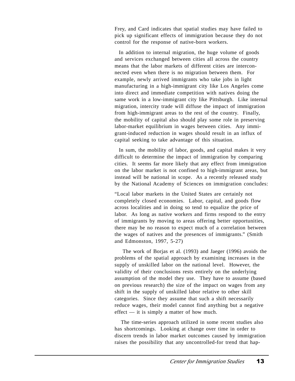Frey, and Card indicates that spatial studies may have failed to pick up significant effects of immigration because they do not control for the response of native-born workers.

 In addition to internal migration, the huge volume of goods and services exchanged between cities all across the country means that the labor markets of different cities are interconnected even when there is no migration between them. For example, newly arrived immigrants who take jobs in light manufacturing in a high-immigrant city like Los Angeles come into direct and immediate competition with natives doing the same work in a low-immigrant city like Pittsburgh. Like internal migration, intercity trade will diffuse the impact of immigration from high-immigrant areas to the rest of the country. Finally, the mobility of capital also should play some role in preserving labor-market equilibrium in wages between cities. Any immigrant-induced reduction in wages should result in an influx of capital seeking to take advantage of this situation.

 In sum, the mobility of labor, goods, and capital makes it very difficult to determine the impact of immigration by comparing cities. It seems far more likely that any effect from immigration on the labor market is not confined to high-immigrant areas, but instead will be national in scope. As a recently released study by the National Academy of Sciences on immigration concludes:

"Local labor markets in the United States are certainly not completely closed economies. Labor, capital, and goods flow across localities and in doing so tend to equalize the price of labor. As long as native workers and firms respond to the entry of immigrants by moving to areas offering better opportunities, there may be no reason to expect much of a correlation between the wages of natives and the presences of immigrants." (Smith and Edmonston, 1997, 5-27)

 The work of Borjas et al. (1993) and Jaeger (1996) avoids the problems of the spatial approach by examining increases in the supply of unskilled labor on the national level. However, the validity of their conclusions rests entirely on the underlying assumption of the model they use. They have to assume (based on previous research) the size of the impact on wages from any shift in the supply of unskilled labor relative to other skill categories. Since they assume that such a shift necessarily reduce wages, their model cannot find anything but a negative effect — it is simply a matter of how much.

 The time-series approach utilized in some recent studies also has shortcomings. Looking at change over time in order to discern trends in labor market outcomes caused by immigration raises the possibility that any uncontrolled-for trend that hap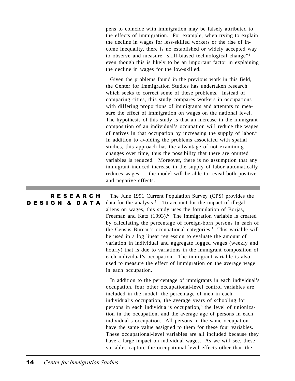pens to coincide with immigration may be falsely attributed to the effects of immigration. For example, when trying to explain the decline in wages for less-skilled workers or the rise of income inequality, there is no established or widely accepted way to observe and measure "skill-biased technological change"3 even though this is likely to be an important factor in explaining the decline in wages for the low-skilled.

 Given the problems found in the previous work in this field, the Center for Immigration Studies has undertaken research which seeks to correct some of these problems. Instead of comparing cities, this study compares workers in occupations with differing proportions of immigrants and attempts to measure the effect of immigration on wages on the national level. The hypothesis of this study is that an increase in the immigrant composition of an individual's occupation will reduce the wages of natives in that occupation by increasing the supply of labor.4 In addition to avoiding the problems associated with spatial studies, this approach has the advantage of not examining changes over time, thus the possibility that there are omitted variables is reduced. Moreover, there is no assumption that any immigrant-induced increase in the supply of labor automatically reduces wages — the model will be able to reveal both positive and negative effects.

 The June 1991 Current Population Survey (CPS) provides the data for the analysis.<sup>5</sup> To account for the impact of illegal aliens on wages, this study uses the formulation of Borjas, Freeman and Katz (1993).<sup>6</sup> The immigration variable is created by calculating the percentage of foreign-born persons in each of the Census Bureau's occupational categories.7 This variable will be used in a log linear regression to evaluate the amount of variation in individual and aggregate logged wages (weekly and hourly) that is due to variations in the immigrant composition of each individual's occupation. The immigrant variable is also used to measure the effect of immigration on the average wage in each occupation. R E S E A R C H DESIGN & DATA

> In addition to the percentage of immigrants in each individual's occupation, four other occupational-level control variables are included in the model: the percentage of men in each individual's occupation, the average years of schooling for persons in each individual's occupation,<sup>8</sup> the level of unionization in the occupation, and the average age of persons in each individual's occupation. All persons in the same occupation have the same value assigned to them for these four variables. These occupational-level variables are all included because they have a large impact on individual wages. As we will see, these variables capture the occupational-level effects other than the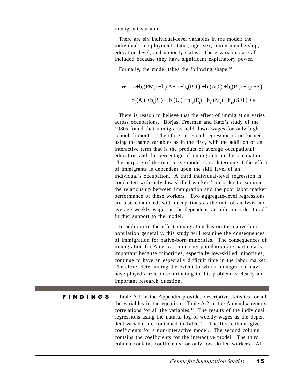immigrant variable.

 There are six individual-level variables in the model: the individual's employment status, age, sex, union membership, education level, and minority status. These variables are all included because they have significant explanatory power.<sup>9</sup>

Formally, the model takes the following shape: $10$ 

$$
W_{i} = a + b_{1}(PM_{i}) + b_{2}(AE_{i}) + b_{3}(PU_{i}) + b_{4}(AO_{i}) + b_{5}(PI_{i}) + b_{6}(FP_{i})
$$
  
+ $b_{7}(A_{i}) + b_{8}(S_{i}) + b_{9}(U_{i}) + b_{10}(E_{i}) + b_{11}(M_{i}) + b_{12}(SEI_{i}) + e$ 

 There is reason to believe that the effect of immigration varies across occupations. Borjas, Freeman and Katz's study of the 1980s found that immigrants held down wages for only highschool dropouts. Therefore, a second regression is performed using the same variables as in the first, with the addition of an interactive term that is the product of average occupational education and the percentage of immigrants in the occupation. The purpose of the interactive model is to determine if the effect of immigrants is dependent upon the skill level of an individual's occupation. A third individual-level regression is conducted with only low-skilled workers<sup>11</sup> in order to examine the relationship between immigration and the poor labor market performance of these workers. Two aggregate-level regressions are also conducted, with occupations as the unit of analysis and average weekly wages as the dependent variable, in order to add further support to the model.

 In addition to the effect immigration has on the native-born population generally, this study will examine the consequences of immigration for native-born minorities. The consequences of immigration for America's minority population are particularly important because minorities, especially low-skilled minorities, continue to have an especially difficult time in the labor market. Therefore, determining the extent to which immigration may have played a role in contributing to this problem is clearly an important research question.

Table A.1 in the Appendix provides descriptive statistics for all the variables in the equation. Table A.2 in the Appendix reports correlations for all the variables.<sup>12</sup> The results of the individual regressions using the natural log of weekly wages as the dependent variable are contained in Table 1. The first column gives coefficients for a non-interactive model. The second column contains the coefficients for the interactive model. The third column contains coefficients for only low-skilled workers. All F I N D I N G S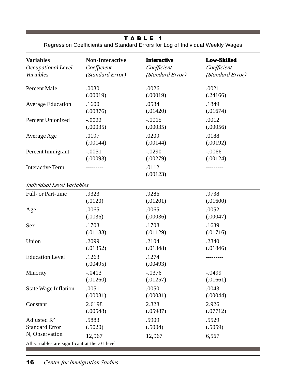# T A B L E 1

Regression Coefficients and Standard Errors for Log of Individual Weekly Wages

| <b>Variables</b>                                                                              | <b>Non-Interactive</b> | <b>Interactive</b> | <b>Low-Skilled</b> |  |
|-----------------------------------------------------------------------------------------------|------------------------|--------------------|--------------------|--|
| Occupational Level                                                                            | Coefficient            | Coefficient        | Coefficient        |  |
| Variables                                                                                     | (Standard Error)       | (Standard Error)   | (Standard Error)   |  |
| <b>Percent Male</b>                                                                           | .0030                  | .0026              | .0021              |  |
|                                                                                               | (.00019)               | (.00019)           | (.24166)           |  |
| <b>Average Education</b>                                                                      | .1600                  | .0584              | .1849              |  |
|                                                                                               | (.00876)               | (.01420)           | (.01674)           |  |
| <b>Percent Unionized</b>                                                                      | $-.0022$               | $-.0015$           | .0012              |  |
|                                                                                               | (.00035)               | (.00035)           | (.00056)           |  |
| Average Age                                                                                   | .0197                  | .0209              | .0188              |  |
|                                                                                               | (.00144)               | (.00144)           | (.00192)           |  |
| Percent Immigrant                                                                             | $-.0051$               | $-.0290$           | $-.0066$           |  |
|                                                                                               | (.00093)               | (.00279)           | (.00124)           |  |
| <b>Interactive Term</b>                                                                       |                        | .0112<br>(.00123)  | --------           |  |
| <b>Individual Level Variables</b>                                                             |                        |                    |                    |  |
| Full- or Part-time                                                                            | .9323                  | .9286              | .9738              |  |
|                                                                                               | (.0120)                | (.01201)           | (.01600)           |  |
| Age                                                                                           | .0065                  | .0065              | .0052              |  |
|                                                                                               | (.0036)                | (.00036)           | (.00047)           |  |
| Sex                                                                                           | .1703                  | .1708              | .1639              |  |
|                                                                                               | (.01133)               | (.01129)           | (.01716)           |  |
| Union                                                                                         | .2099                  | .2104              | .2840              |  |
|                                                                                               | (.01352)               | (.01348)           | (.01846)           |  |
| <b>Education Level</b>                                                                        | .1263<br>(.00495)      | .1274<br>(.00493)  |                    |  |
| Minority                                                                                      | $-.0413$               | $-.0376$           | $-.0499$           |  |
|                                                                                               | (.01260)               | (.01257)           | (.01661)           |  |
| <b>State Wage Inflation</b>                                                                   | .0051                  | .0050              | .0043              |  |
|                                                                                               | (.00031)               | (.00031)           | (.00044)           |  |
| Constant                                                                                      | 2.6198                 | 2.828              | 2.926              |  |
|                                                                                               | (.00548)               | (.05987)           | (.07712)           |  |
| Adjusted $R^2$                                                                                | .5883                  | .5909              | .5529              |  |
| <b>Standard Error</b>                                                                         | (.5020)                | (.5004)            | (.5059)            |  |
| N, Observation<br>12,967<br>12,967<br>6,567<br>All variables are significant at the .01 level |                        |                    |                    |  |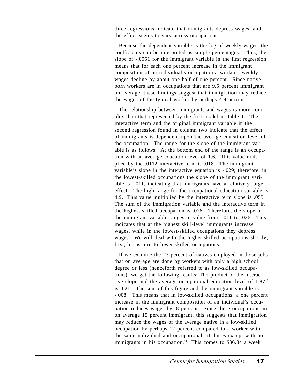three regressions indicate that immigrants depress wages, and the effect seems to vary across occupations.

 Because the dependent variable is the log of weekly wages, the coefficients can be interpreted as simple percentages. Thus, the slope of -.0051 for the immigrant variable in the first regression means that for each one percent increase in the immigrant composition of an individual's occupation a worker's weekly wages decline by about one half of one percent. Since nativeborn workers are in occupations that are 9.5 percent immigrant on average, these findings suggest that immigration may reduce the wages of the typical worker by perhaps 4.9 percent.

 The relationship between immigrants and wages is more complex than that represented by the first model in Table 1. The interactive term and the original immigrant variable in the second regression found in column two indicate that the effect of immigrants is dependent upon the average education level of the occupation. The range for the slope of the immigrant variable is as follows: At the bottom end of the range is an occupation with an average education level of 1.6. This value multiplied by the .0112 interactive term is .018. The immigrant variable's slope in the interactive equation is -.029; therefore, in the lowest-skilled occupations the slope of the immigrant variable is -.011, indicating that immigrants have a relatively large effect. The high range for the occupational education variable is 4.9. This value multiplied by the interactive term slope is .055. The sum of the immigration variable and the interactive term in the highest-skilled occupation is .026. Therefore, the slope of the immigrant variable ranges in value from -.011 to .026. This indicates that at the highest skill-level immigrants increase wages, while in the lowest-skilled occupations they depress wages. We will deal with the higher-skilled occupations shortly; first, let us turn to lower-skilled occupations.

 If we examine the 23 percent of natives employed in those jobs that on average are done by workers with only a high school degree or less (henceforth referred to as low-skilled occupations), we get the following results: The product of the interactive slope and the average occupational education level of 1.8713 is .021. The sum of this figure and the immigrant variable is -.008. This means that in low-skilled occupations, a one percent increase in the immigrant composition of an individual's occupation reduces wages by .8 percent. Since these occupations are on average 15 percent immigrant, this suggests that immigration may reduce the wages of the average native in a low-skilled occupation by perhaps 12 percent compared to a worker with the same individual and occupational attributes except with no immigrants in his occupation.<sup>14</sup> This comes to  $$36.84$  a week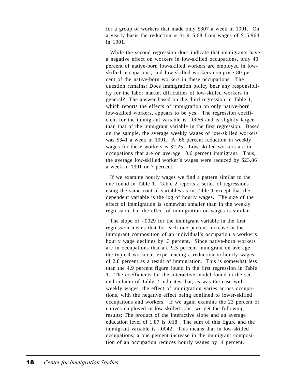for a group of workers that made only \$307 a week in 1991. On a yearly basis the reduction is \$1,915.68 from wages of \$15,964 in 1991.

 While the second regression does indicate that immigrants have a negative effect on workers in low-skilled occupations, only 40 percent of native-born low-skilled workers are employed in lowskilled occupations, and low-skilled workers comprise 80 percent of the native-born workers in these occupations. The question remains: Does immigration policy bear any responsibility for the labor market difficulties of low-skilled workers in general? The answer based on the third regression in Table 1, which reports the effects of immigration on only native-born low-skilled workers, appears to be yes. The regression coefficient for the immigrant variable is -.0066 and is slightly larger than that of the immigrant variable in the first regression. Based on the sample, the average weekly wages of low-skilled workers was \$341 a week in 1991. A .66 percent reduction in weekly wages for these workers is \$2.25. Low-skilled workers are in occupations that are on average 10.6 percent immigrant. Thus, the average low-skilled worker's wages were reduced by \$23.86 a week in 1991 or 7 percent.

 If we examine hourly wages we find a pattern similar to the one found in Table 1. Table 2 reports a series of regressions using the same control variables as in Table 1 except that the dependent variable is the log of hourly wages. The size of the effect of immigration is somewhat smaller than in the weekly regression, but the effect of immigration on wages is similar.

 The slope of -.0029 for the immigrant variable in the first regression means that for each one percent increase in the immigrant composition of an individual's occupation a worker's hourly wage declines by .3 percent. Since native-born workers are in occupations that are 9.5 percent immigrant on average, the typical worker is experiencing a reduction in hourly wages of 2.8 percent as a result of immigration. This is somewhat less than the 4.9 percent figure found in the first regression in Table 1. The coefficients for the interactive model found in the second column of Table 2 indicates that, as was the case with weekly wages, the effect of immigration varies across occupations, with the negative effect being confined to lower-skilled occupations and workers. If we again examine the 23 percent of natives employed in low-skilled jobs, we get the following results: The product of the interactive slope and an average education level of 1.87 is .018. The sum of this figure and the immigrant variable is -.0042. This means that in low-skilled occupations, a one percent increase in the immigrant composition of an occupation reduces hourly wages by .4 percent.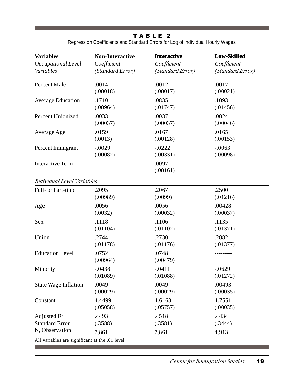## T A B L E 2

Regression Coefficients and Standard Errors for Log of Individual Hourly Wages

| <b>Variables</b>                               | <b>Non-Interactive</b> | <b>Interactive</b> | <b>Low-Skilled</b> |  |  |
|------------------------------------------------|------------------------|--------------------|--------------------|--|--|
| Occupational Level                             | Coefficient            | Coefficient        | Coefficient        |  |  |
| Variables                                      | (Standard Error)       | (Standard Error)   | (Standard Error)   |  |  |
| Percent Male                                   | .0014                  | .0012              | .0017              |  |  |
|                                                | (.00018)               | (.00017)           | (.00021)           |  |  |
| <b>Average Education</b>                       | .1710                  | .0835              | .1093              |  |  |
|                                                | (.00964)               | (.01747)           | (.01456)           |  |  |
| <b>Percent Unionized</b>                       | .0033                  | .0037              | .0024              |  |  |
|                                                | (.00037)               | (.00037)           | (.00046)           |  |  |
| Average Age                                    | .0159                  | .0167              | .0165              |  |  |
|                                                | (.0013)                | (.00128)           | (.00153)           |  |  |
| Percent Immigrant                              | $-.0029$               | $-.0222$           | $-.0063$           |  |  |
|                                                | (.00082)               | (.00331)           | (.00098)           |  |  |
| <b>Interactive Term</b>                        | -------                | .0097<br>(.00161)  | -------            |  |  |
| <b>Individual Level Variables</b>              |                        |                    |                    |  |  |
| Full- or Part-time                             | .2095                  | .2067              | .2500              |  |  |
|                                                | (.00989)               | (.0099)            | (.01216)           |  |  |
| Age                                            | .0056                  | .0056              | .00428             |  |  |
|                                                | (.0032)                | (.00032)           | (.00037)           |  |  |
| Sex                                            | .1118                  | .1106              | .1135              |  |  |
|                                                | (.01104)               | (.01102)           | (.01371)           |  |  |
| Union                                          | .2744                  | .2730              | .2882              |  |  |
|                                                | (.01178)               | (.01176)           | (.01377)           |  |  |
| <b>Education Level</b>                         | .0752<br>(.00964)      | .0748<br>(.00479)  |                    |  |  |
| Minority                                       | $-.0438$               | $-.0411$           | $-.0629$           |  |  |
|                                                | (.01089)               | (.01088)           | (.01272)           |  |  |
| <b>State Wage Inflation</b>                    | .0049                  | .0049              | .00493             |  |  |
|                                                | (.00029)               | (.00029)           | (.00035)           |  |  |
| Constant                                       | 4.4499                 | 4.6163             | 4.7551             |  |  |
|                                                | (.05058)               | (.05757)           | (.00035)           |  |  |
| Adjusted $\mathbb{R}^2$                        | .4493                  | .4518              | .4434              |  |  |
| <b>Standard Error</b>                          | (.3588)                | (.3581)            | (.3444)            |  |  |
| N, Observation                                 | 7,861                  | 7,861              | 4,913              |  |  |
| All variables are significant at the .01 level |                        |                    |                    |  |  |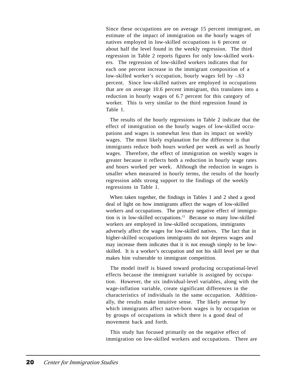Since these occupations are on average 15 percent immigrant, an estimate of the impact of immigration on the hourly wages of natives employed in low-skilled occupations is 6 percent or about half the level found in the weekly regression. The third regression in Table 2 reports figures for only low-skilled workers. The regression of low-skilled workers indicates that for each one percent increase in the immigrant composition of a low-skilled worker's occupation, hourly wages fell by -.63 percent. Since low-skilled natives are employed in occupations that are on average 10.6 percent immigrant, this translates into a reduction in hourly wages of 6.7 percent for this category of worker. This is very similar to the third regression found in Table 1.

 The results of the hourly regressions in Table 2 indicate that the effect of immigration on the hourly wages of low-skilled occupations and wages is somewhat less than its impact on weekly wages. The most likely explanation for the difference is that immigrants reduce both hours worked per week as well as hourly wages. Therefore, the effect of immigration on weekly wages is greater because it reflects both a reduction in hourly wage rates and hours worked per week. Although the reduction in wages is smaller when measured in hourly terms, the results of the hourly regression adds strong support to the findings of the weekly regressions in Table 1.

 When taken together, the findings in Tables 1 and 2 shed a good deal of light on how immigrants affect the wages of low-skilled workers and occupations. The primary negative effect of immigration is in low-skilled occupations.15 Because so many low-skilled workers are employed in low-skilled occupations, immigrants adversely affect the wages for low-skilled natives. The fact that in higher-skilled occupations immigrants do not depress wages and may increase them indicates that it is not enough simply to be lowskilled. It is a worker's occupation and not his skill level per se that makes him vulnerable to immigrant competition.

 The model itself is biased toward producing occupational-level effects because the immigrant variable is assigned by occupation. However, the six individual-level variables, along with the wage-inflation variable, create significant differences in the characteristics of individuals in the same occupation. Additionally, the results make intuitive sense. The likely avenue by which immigrants affect native-born wages is by occupation or by groups of occupations in which there is a good deal of movement back and forth.

 This study has focused primarily on the negative effect of immigration on low-skilled workers and occupations. There are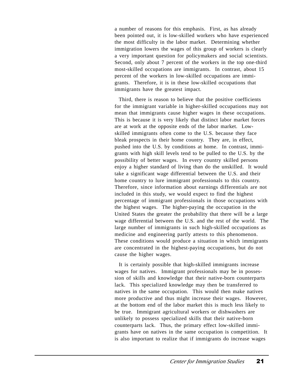a number of reasons for this emphasis. First, as has already been pointed out, it is low-skilled workers who have experienced the most difficulty in the labor market. Determining whether immigration lowers the wages of this group of workers is clearly a very important question for policymakers and social scientists. Second, only about 7 percent of the workers in the top one-third most-skilled occupations are immigrants. In contrast, about 15 percent of the workers in low-skilled occupations are immigrants. Therefore, it is in these low-skilled occupations that immigrants have the greatest impact.

 Third, there is reason to believe that the positive coefficients for the immigrant variable in higher-skilled occupations may not mean that immigrants cause higher wages in these occupations. This is because it is very likely that distinct labor market forces are at work at the opposite ends of the labor market. Lowskilled immigrants often come to the U.S. because they face bleak prospects in their home country. They are, in effect, pushed into the U.S. by conditions at home. In contrast, immigrants with high skill levels tend to be pulled to the U.S. by the possibility of better wages. In every country skilled persons enjoy a higher standard of living than do the unskilled. It would take a significant wage differential between the U.S. and their home country to lure immigrant professionals to this country. Therefore, since information about earnings differentials are not included in this study, we would expect to find the highest percentage of immigrant professionals in those occupations with the highest wages. The higher-paying the occupation in the United States the greater the probability that there will be a large wage differential between the U.S. and the rest of the world. The large number of immigrants in such high-skilled occupations as medicine and engineering partly attests to this phenomenon. These conditions would produce a situation in which immigrants are concentrated in the highest-paying occupations, but do not cause the higher wages.

 It is certainly possible that high-skilled immigrants increase wages for natives. Immigrant professionals may be in possession of skills and knowledge that their native-born counterparts lack. This specialized knowledge may then be transferred to natives in the same occupation. This would then make natives more productive and thus might increase their wages. However, at the bottom end of the labor market this is much less likely to be true. Immigrant agricultural workers or dishwashers are unlikely to possess specialized skills that their native-born counterparts lack. Thus, the primary effect low-skilled immigrants have on natives in the same occupation is competition. It is also important to realize that if immigrants do increase wages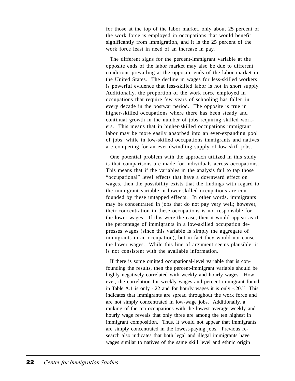for those at the top of the labor market, only about 25 percent of the work force is employed in occupations that would benefit significantly from immigration, and it is the 25 percent of the work force least in need of an increase in pay.

 The different signs for the percent-immigrant variable at the opposite ends of the labor market may also be due to different conditions prevailing at the opposite ends of the labor market in the United States. The decline in wages for less-skilled workers is powerful evidence that less-skilled labor is not in short supply. Additionally, the proportion of the work force employed in occupations that require few years of schooling has fallen in every decade in the postwar period. The opposite is true in higher-skilled occupations where there has been steady and continual growth in the number of jobs requiring skilled workers. This means that in higher-skilled occupations immigrant labor may be more easily absorbed into an ever-expanding pool of jobs, while in low-skilled occupations immigrants and natives are competing for an ever-dwindling supply of low-skill jobs.

 One potential problem with the approach utilized in this study is that comparisons are made for individuals across occupations. This means that if the variables in the analysis fail to tap those "occupational" level effects that have a downward effect on wages, then the possibility exists that the findings with regard to the immigrant variable in lower-skilled occupations are confounded by these untapped effects. In other words, immigrants may be concentrated in jobs that do not pay very well; however, their concentration in these occupations is not responsible for the lower wages. If this were the case, then it would appear as if the percentage of immigrants in a low-skilled occupation depresses wages (since this variable is simply the aggregate of immigrants in an occupation), but in fact they would not cause the lower wages. While this line of argument seems plausible, it is not consistent with the available information.

 If there is some omitted occupational-level variable that is confounding the results, then the percent-immigrant variable should be highly negatively correlated with weekly and hourly wages. However, the correlation for weekly wages and percent-immigrant found in Table A.1 is only -.22 and for hourly wages it is only -.20.16 This indicates that immigrants are spread throughout the work force and are not simply concentrated in low-wage jobs. Additionally, a ranking of the ten occupations with the lowest average weekly and hourly wage reveals that only three are among the ten highest in immigrant composition. Thus, it would not appear that immigrants are simply concentrated in the lowest-paying jobs. Previous research also indicates that both legal and illegal immigrants have wages similar to natives of the same skill level and ethnic origin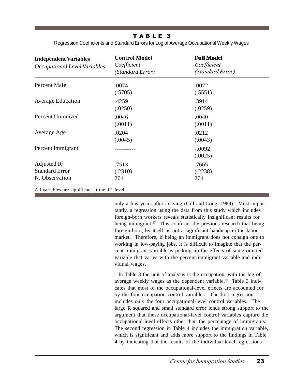T A B L E 3 Regression Coefficients and Standard Errors for Log of Average Occupational Weekly Wages

| <b>Independent Variables</b><br>Occupational Level Variables       | <b>Control Model</b><br>Coefficient<br>(Standard Error) | <b>Full Model</b><br>Coefficient<br>(Standard Error) |
|--------------------------------------------------------------------|---------------------------------------------------------|------------------------------------------------------|
| Percent Male                                                       | .0074<br>(.5705)                                        | .0072                                                |
| <b>Average Education</b>                                           | .4259<br>(.0250)                                        | (.5551)<br>.3914<br>(.0259)                          |
| Percent Unionized                                                  | .0046<br>(.0011)                                        | .0040<br>(.0011)                                     |
| Average Age                                                        | .0204<br>(.0045)                                        | .0212<br>(.0043)                                     |
| Percent Immigrant                                                  |                                                         | $-.0092$<br>(.0025)                                  |
| Adjusted $\mathbb{R}^2$<br><b>Standard Error</b><br>N, Observation | .7513<br>(.2310)<br>204                                 | .7665<br>(.2238)<br>204                              |
| All variables are significant at the .01 level                     |                                                         |                                                      |

only a few years after arriving (Gill and Long, 1989). Most importantly, a regression using the data from this study which includes foreign-born workers reveals statistically insignificant results for being immigrant.<sup>17</sup> This confirms the previous research that being foreign-born, by itself, is not a significant handicap in the labor market. Therefore, if being an immigrant does not consign one to working in low-paying jobs, it is difficult to imagine that the percent-immigrant variable is picking up the effects of some omitted variable that varies with the percent-immigrant variable and individual wages.

 In Table 3 the unit of analysis is the occupation, with the log of average weekly wages as the dependent variable.18 Table 3 indicates that most of the occupational-level effects are accounted for by the four occupation control variables. The first regression includes only the four occupational-level control variables. The large R squared and small standard error lends strong support to the argument that these occupational-level control variables capture the occupational-level effects other than the percentage of immigrants. The second regression in Table 4 includes the immigration variable, which is significant and adds more support to the findings in Table 4 by indicating that the results of the individual-level regressions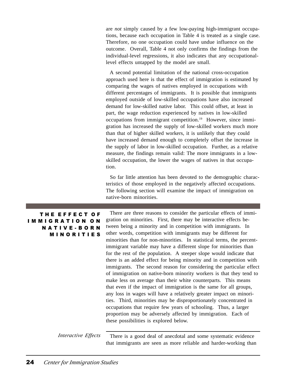are *not* simply caused by a few low-paying high-immigrant occupations, because each occupation in Table 4 is treated as a single case. Therefore, no one occupation could have undue influence on the outcome. Overall, Table 4 not only confirms the findings from the individual-level regressions, it also indicates that any occupationallevel effects untapped by the model are small.

 A second potential limitation of the national cross-occupation approach used here is that the effect of immigration is estimated by comparing the wages of natives employed in occupations with different percentages of immigrants. It is possible that immigrants employed outside of low-skilled occupations have also increased demand for low-skilled native labor. This could offset, at least in part, the wage reduction experienced by natives in low-skilled occupations from immigrant competition.19 However, since immigration has increased the supply of low-skilled workers much more than that of higher skilled workers, it is unlikely that they could have increased demand enough to completely offset the increase in the supply of labor in low-skilled occupation. Further, as a relative measure, the findings remain valid: The more immigrants in a lowskilled occupation, the lower the wages of natives in that occupation.

 So far little attention has been devoted to the demographic characteristics of those employed in the negatively affected occupations. The following section will examine the impact of immigration on native-born minorities.

| THE EFFECT OF                                             | There are three reasons to consider the particular effects of immi-    |
|-----------------------------------------------------------|------------------------------------------------------------------------|
| <b>IMMIGRATION ON</b>                                     | gration on minorities. First, there may be interactive effects be-     |
| <b>NATIVE-BORN</b>                                        | tween being a minority and in competition with immigrants. In          |
| <b>MINORITIES</b>                                         | other words, competition with immigrants may be different for          |
|                                                           | minorities than for non-minorities. In statistical terms, the percent- |
|                                                           | immigrant variable may have a different slope for minorities than      |
|                                                           | for the rest of the population. A steeper slope would indicate that    |
|                                                           | there is an added effect for being minority and in competition with    |
|                                                           | immigrants. The second reason for considering the particular effect    |
|                                                           | of immigration on native-born minority workers is that they tend to    |
|                                                           | make less on average than their white counterparts. This means         |
|                                                           | that even if the impact of immigration is the same for all groups,     |
|                                                           | any loss in wages will have a relatively greater impact on minori-     |
|                                                           | ties. Third, minorities may be disproportionately concentrated in      |
|                                                           | occupations that require few years of schooling. Thus, a larger        |
|                                                           | proportion may be adversely affected by immigration. Each of           |
|                                                           | these possibilities is explored below.                                 |
|                                                           |                                                                        |
| $\mathbf{r}$ , $\mathbf{r}$ , $\mathbf{r}$ , $\mathbf{r}$ |                                                                        |

 There is a good deal of anecdotal and some systematic evidence that immigrants are seen as more reliable and harder-working than *Interactive Effects*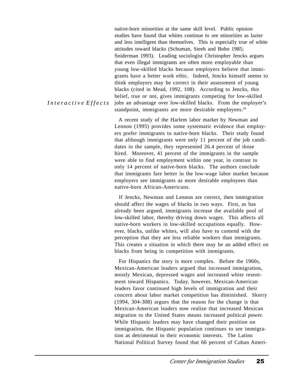native-born minorities at the same skill level. Public opinion studies have found that whites continue to see minorities as lazier and less intelligent than themselves. This is especially true of white attitudes toward blacks (Schuman, Steeh and Bobo 1985; Sniderman 1993). Leading sociologist Christopher Jencks argues that even illegal immigrants are often more employable than young low-skilled blacks because employers believe that immigrants have a better work ethic. Indeed, Jencks himself seems to think employers may be correct in their assessment of young blacks (cited in Mead, 1992, 108). According to Jencks, this belief, true or not, gives immigrants competing for low-skilled jobs an advantage over low-skilled blacks. From the employer's standpoint, immigrants are more desirable employees. $20$ 

 A recent study of the Harlem labor market by Newman and Lennon (1995) provides some systematic evidence that employers prefer immigrants to native-born blacks. Their study found that although immigrants were only 11 percent of the job candidates in the sample, they represented 26.4 percent of those hired. Moreover, 41 percent of the immigrants in the sample were able to find employment within one year, in contrast to only 14 percent of native-born blacks. The authors conclude that immigrants fare better in the low-wage labor market because employers see immigrants as more desirable employees than native-born African-Americans.

 If Jencks, Newman and Lennon are correct, then immigration should affect the wages of blacks in two ways. First, as has already been argued, immigrants increase the available pool of low-skilled labor, thereby driving down wages. This affects all native-born workers in low-skilled occupations equally. However, blacks, unlike whites, will also have to contend with the perception that they are less reliable workers than immigrants. This creates a situation in which there may be an added effect on blacks from being in competition with immigrants.

 For Hispanics the story is more complex. Before the 1960s, Mexican-American leaders argued that increased immigration, mostly Mexican, depressed wages and increased white resentment toward Hispanics. Today, however, Mexican-American leaders favor continued high levels of immigration and their concern about labor market competition has diminished. Skerry (1994, 304-308) argues that the reason for the change is that Mexican-American leaders now realize that increased Mexican migration to the United States means increased political power. While Hispanic leaders may have changed their position on immigration, the Hispanic population continues to see immigration as detrimental to their economic interests. The Latino National Political Survey found that 66 percent of Cuban Ameri-

*I n t e r a c t i v e E f f e c t s*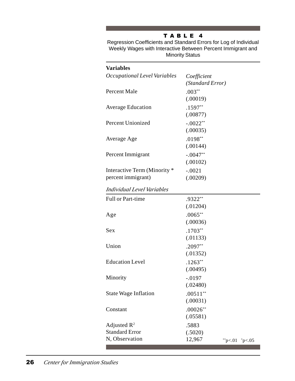# T A B L E 4

Regression Coefficients and Standard Errors for Log of Individual Weekly Wages with Interactive Between Percent Immigrant and Minority Status

| <b>Variables</b>                                   |                                                    |  |
|----------------------------------------------------|----------------------------------------------------|--|
| Occupational Level Variables                       | Coefficient<br>(Standard Error)                    |  |
| Percent Male                                       | $.003**$<br>(.00019)                               |  |
| <b>Average Education</b>                           | $.1597**$<br>(.00877)                              |  |
| <b>Percent Unionized</b>                           | $-.0022**$<br>(.00035)                             |  |
| Average Age                                        | $.0198**$<br>(.00144)                              |  |
| Percent Immigrant                                  | $-.0047**$<br>(.00102)                             |  |
| Interactive Term (Minority *<br>percent immigrant) | $-.0021$<br>(.00209)                               |  |
| Individual Level Variables                         |                                                    |  |
| <b>Full or Part-time</b>                           | .9322**<br>(.01204)                                |  |
| Age                                                | $.0065***$<br>(.00036)                             |  |
| Sex                                                | $.1703**$<br>(.01133)                              |  |
| Union                                              | $.2097**$<br>(.01352)                              |  |
| <b>Education Level</b>                             | $.1263**$<br>(.00495)                              |  |
| Minority                                           | $-.0197$<br>(.02480)                               |  |
| <b>State Wage Inflation</b>                        | $.00511**$<br>(.00031)                             |  |
| Constant                                           | $.00026**$<br>(.05581)                             |  |
| Adjusted $\mathbb{R}^2$                            | .5883                                              |  |
| <b>Standard Error</b><br>N, Observation            | (.5020)<br>12,967<br>$*$ p<.01<br>$~^{\circ}p<.05$ |  |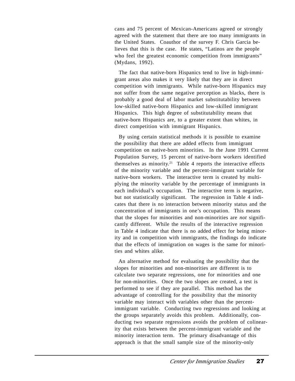cans and 75 percent of Mexican-Americans agreed or strongly agreed with the statement that there are too many immigrants in the United States. Coauthor of the survey F. Chris Garcia believes that this is the case. He states, "Latinos are the people who feel the greatest economic competition from immigrants" (Mydans, 1992).

 The fact that native-born Hispanics tend to live in high-immigrant areas also makes it very likely that they are in direct competition with immigrants. While native-born Hispanics may not suffer from the same negative perception as blacks, there is probably a good deal of labor market substitutability between low-skilled native-born Hispanics and low-skilled immigrant Hispanics. This high degree of substitutability means that native-born Hispanics are, to a greater extent than whites, in direct competition with immigrant Hispanics.

 By using certain statistical methods it is possible to examine the possibility that there are added effects from immigrant competition on native-born minorities. In the June 1991 Current Population Survey, 15 percent of native-born workers identified themselves as minority.<sup>21</sup> Table 4 reports the interactive effects of the minority variable and the percent-immigrant variable for native-born workers. The interactive term is created by multiplying the minority variable by the percentage of immigrants in each individual's occupation. The interactive term is negative, but not statistically significant. The regression in Table 4 indicates that there is no interaction between minority status and the concentration of immigrants in one's occupation. This means that the slopes for minorities and non-minorities are *not* significantly different. While the results of the interactive regression in Table 4 indicate that there is no added effect for being minority and in competition with immigrants, the findings do indicate that the effects of immigration on wages is the same for minorities and whites alike.

 An alternative method for evaluating the possibility that the slopes for minorities and non-minorities are different is to calculate two separate regressions, one for minorities and one for non-minorities. Once the two slopes are created, a test is performed to see if they are parallel. This method has the advantage of controlling for the possibility that the minority variable may interact with variables other than the percentimmigrant variable. Conducting two regressions and looking at the groups separately avoids this problem. Additionally, conducting two separate regressions avoids the problem of colinearity that exists between the percent-immigrant variable and the minority interaction term. The primary disadvantage of this approach is that the small sample size of the minority-only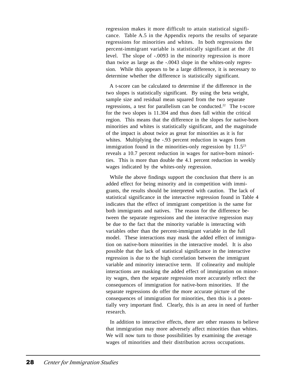regression makes it more difficult to attain statistical significance. Table A.5 in the Appendix reports the results of separate regressions for minorities and whites. In both regressions the percent-immigrant variable is statistically significant at the .01 level. The slope of -.0093 in the minority regression is more than twice as large as the -.0043 slope in the whites-only regression. While this appears to be a large difference, it is necessary to determine whether the difference is statistically significant.

 A t-score can be calculated to determine if the difference in the two slopes is statistically significant. By using the beta weight, sample size and residual mean squared from the two separate regressions, a test for parallelism can be conducted.<sup>22</sup> The t-score for the two slopes is 11.304 and thus does fall within the critical region. This means that the difference in the slopes for native-born minorities and whites is statistically significant, and the magnitude of the impact is about twice as great for minorities as it is for whites. Multiplying the -.93 percent reduction in wages from immigration found in the minorities-only regression by  $11.5^{23}$ reveals a 10.7 percent reduction in wages for native-born minorities. This is more than double the 4.1 percent reduction in weekly wages indicated by the whites-only regression.

 While the above findings support the conclusion that there is an added effect for being minority and in competition with immigrants, the results should be interpreted with caution. The lack of statistical significance in the interactive regression found in Table 4 indicates that the effect of immigrant competition is the same for both immigrants and natives. The reason for the difference between the separate regressions and the interactive regression may be due to the fact that the minority variable is interacting with variables other than the percent-immigrant variable in the full model. These interactions may mask the added effect of immigration on native-born minorities in the interactive model. It is also possible that the lack of statistical significance in the interactive regression is due to the high correlation between the immigrant variable and minority interactive term. If colinearity and multiple interactions are masking the added effect of immigration on minority wages, then the separate regression more accurately reflect the consequences of immigration for native-born minorities. If the separate regressions do offer the more accurate picture of the consequences of immigration for minorities, then this is a potentially very important find. Clearly, this is an area in need of further research.

 In addition to interactive effects, there are other reasons to believe that immigration may more adversely affect minorities than whites. We will now turn to those possibilities by examining the average wages of minorities and their distribution across occupations.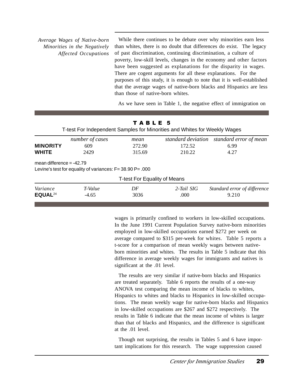*Average Wages of Native-born Minorities in the Negatively Affected Occupations*

 While there continues to be debate over why minorities earn less than whites, there is no doubt that differences do exist. The legacy of past discrimination, continuing discrimination, a culture of poverty, low-skill levels, changes in the economy and other factors have been suggested as explanations for the disparity in wages. There are cogent arguments for all these explanations. For the purposes of this study, it is enough to note that it is well-established that the average wages of native-born blacks and Hispanics are less than those of native-born whites.

As we have seen in Table 1, the negative effect of immigration on

|                                 | T-test For Independent Samples for Minorities and Whites for Weekly Wages | TABLE 5                             |                    |                                       |
|---------------------------------|---------------------------------------------------------------------------|-------------------------------------|--------------------|---------------------------------------|
|                                 | number of cases                                                           | mean                                | standard deviation | standard error of mean                |
| <b>MINORITY</b>                 | 609                                                                       | 272.90                              | 172.52             | 6.99                                  |
| <b>WHITE</b>                    | 2429                                                                      | 315.69                              | 210.22             | 4.27                                  |
| mean difference $= -42.79$      | Levine's test for equality of variances: $F = 38.90 P = .000$             |                                     |                    |                                       |
|                                 |                                                                           | <b>T-test For Equality of Means</b> |                    |                                       |
| Variance<br>EQUAL <sup>24</sup> | T-Value<br>$-4.65$                                                        | DF<br>3036                          | 2-Tail SIG<br>.000 | Standard error of difference<br>9.210 |

wages is primarily confined to workers in low-skilled occupations. In the June 1991 Current Population Survey native-born minorities employed in low-skilled occupations earned \$272 per week on average compared to \$315 per-week for whites. Table 5 reports a t-score for a comparison of mean weekly wages between nativeborn minorities and whites. The results in Table 5 indicate that this difference in average weekly wages for immigrants and natives is significant at the .01 level.

 The results are very similar if native-born blacks and Hispanics are treated separately. Table 6 reports the results of a one-way ANOVA test comparing the mean income of blacks to whites, Hispanics to whites and blacks to Hispanics in low-skilled occupations. The mean weekly wage for native-born blacks and Hispanics in low-skilled occupations are \$267 and \$272 respectively. The results in Table 6 indicate that the mean income of whites is larger than that of blacks and Hispanics, and the difference is significant at the .01 level.

 Though not surprising, the results in Tables 5 and 6 have important implications for this research. The wage suppression caused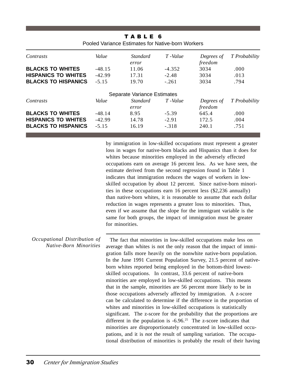|                            |          | TABLE 6<br>Pooled Variance Estimates for Native-born Workers |          |                       |               |
|----------------------------|----------|--------------------------------------------------------------|----------|-----------------------|---------------|
| Contrasts                  | Value    | Standard<br>error                                            | T-Value  | Degrees of<br>freedom | T Probability |
| <b>BLACKS TO WHITES</b>    | $-48.15$ | 11.06                                                        | $-4.352$ | 3034                  | .000.         |
| <b>HISPANICS TO WHITES</b> | $-42.99$ | 17.31                                                        | $-2.48$  | 3034                  | .013          |
| <b>BLACKS TO HISPANICS</b> | $-5.15$  | 19.70                                                        | $-.261$  | 3034                  | .794          |
|                            |          | Separate Variance Estimates                                  |          |                       |               |
| Contrasts                  | Value    | <i>Standard</i><br>error                                     | T-Value  | Degrees of<br>freedom | T Probability |
| <b>BLACKS TO WHITES</b>    | $-48.14$ | 8.95                                                         | $-5.39$  | 645.4                 | .000          |
| <b>HISPANICS TO WHITES</b> | $-42.99$ | 14.78                                                        | $-2.91$  | 172.5                 | .004          |
| <b>BLACKS TO HISPANICS</b> | $-5.15$  | 16.19                                                        | $-.318$  | 240.1                 | .751          |

by immigration in low-skilled occupations must represent a greater loss in wages for native-born blacks and Hispanics than it does for whites because minorities employed in the adversely effected occupations earn on average 16 percent less. As we have seen, the estimate derived from the second regression found in Table 1 indicates that immigration reduces the wages of workers in lowskilled occupation by about 12 percent. Since native-born minorities in these occupations earn 16 percent less (\$2,236 annually) than native-born whites, it is reasonable to assume that each dollar reduction in wages represents a greater loss to minorities. Thus, even if we assume that the slope for the immigrant variable is the same for both groups, the impact of immigration must be greater for minorities.

#### *Occupational Distribution of Native-Born Minorities*

 The fact that minorities in low-skilled occupations make less on average than whites is not the only reason that the impact of immigration falls more heavily on the nonwhite native-born population. In the June 1991 Current Population Survey, 21.5 percent of nativeborn whites reported being employed in the bottom-third lowestskilled occupations. In contrast, 33.6 percent of native-born minorities are employed in low-skilled occupations. This means that in the sample, minorities are 56 percent more likely to be in those occupations adversely affected by immigration. A z-score can be calculated to determine if the difference in the proportion of whites and minorities in low-skilled occupations is statistically significant. The z-score for the probability that the proportions are different in the population is  $-6.96<sup>25</sup>$  The z-score indicates that minorities are disproportionately concentrated in low-skilled occupations, and it is *not* the result of sampling variation. The occupational distribution of minorities is probably the result of their having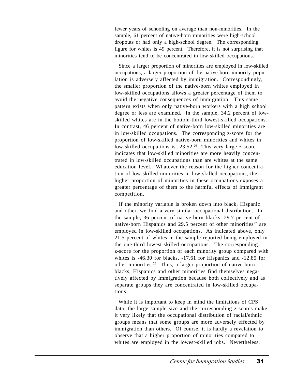fewer years of schooling on average than non-minorities. In the sample, 61 percent of native-born minorities were high-school dropouts or had only a high-school degree. The corresponding figure for whites is 49 percent. Therefore, it is not surprising that minorities tend to be concentrated in low-skilled occupations.

 Since a larger proportion of minorities are employed in low-skilled occupations, a larger proportion of the native-born minority population is adversely affected by immigration. Correspondingly, the smaller proportion of the native-born whites employed in low-skilled occupations allows a greater percentage of them to avoid the negative consequences of immigration. This same pattern exists when only native-born workers with a high school degree or less are examined. In the sample, 34.2 percent of lowskilled whites are in the bottom-third lowest-skilled occupations. In contrast, 46 percent of native-born low-skilled minorities are in low-skilled occupations. The corresponding z-score for the proportion of low-skilled native-born minorities and whites in low-skilled occupations is -23.52<sup>26</sup> This very large z-score indicates that low-skilled minorities are more heavily concentrated in low-skilled occupations than are whites at the same education level. Whatever the reason for the higher concentration of low-skilled minorities in low-skilled occupations, the higher proportion of minorities in these occupations exposes a greater percentage of them to the harmful effects of immigrant competition.

 If the minority variable is broken down into black, Hispanic and other, we find a very similar occupational distribution. In the sample, 36 percent of native-born blacks, 29.7 percent of native-born Hispanics and 29.5 percent of other minorities<sup>27</sup> are employed in low-skilled occupations. As indicated above, only 21.5 percent of whites in the sample reported being employed in the one-third lowest-skilled occupations. The corresponding z-score for the proportion of each minority group compared with whites is -46.30 for blacks, -17.61 for Hispanics and -12.85 for other minorities.28 Thus, a larger proportion of native-born blacks, Hispanics and other minorities find themselves negatively affected by immigration because both collectively and as separate groups they are concentrated in low-skilled occupations.

 While it is important to keep in mind the limitations of CPS data, the large sample size and the corresponding z-scores make it very likely that the occupational distribution of racial/ethnic groups means that some groups are more adversely effected by immigration than others. Of course, it is hardly a revelation to observe that a higher proportion of minorities compared to whites are employed in the lowest-skilled jobs. Nevertheless,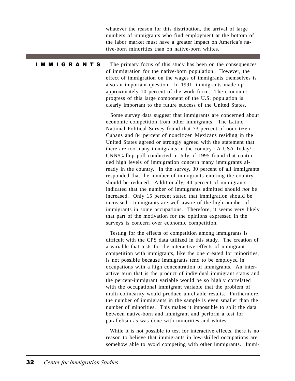whatever the reason for this distribution, the arrival of large numbers of immigrants who find employment at the bottom of the labor market must have a greater impact on America's native-born minorities than on native-born whites.

#### I M M I G R A N T S

The primary focus of this study has been on the consequences of immigration for the native-born population. However, the effect of immigration on the wages of immigrants themselves is also an important question. In 1991, immigrants made up approximately 10 percent of the work force. The economic progress of this large component of the U.S. population is clearly important to the future success of the United States.

 Some survey data suggest that immigrants are concerned about economic competition from other immigrants. The Latino National Political Survey found that 73 percent of noncitizen Cubans and 84 percent of noncitizen Mexicans residing in the United States agreed or strongly agreed with the statement that there are too many immigrants in the country. A USA Today/ CNN/Gallup poll conducted in July of 1995 found that continued high levels of immigration concern many immigrants already in the country. In the survey, 30 percent of all immigrants responded that the number of immigrants entering the country should be reduced. Additionally, 44 percent of immigrants indicated that the number of immigrants admitted should *not* be increased. Only 15 percent stated that immigration should be increased. Immigrants are well-aware of the high number of immigrants in some occupations. Therefore, it seems very likely that part of the motivation for the opinions expressed in the surveys is concern over economic competition.

 Testing for the effects of competition among immigrants is difficult with the CPS data utilized in this study. The creation of a variable that tests for the interactive effects of immigrant competition with immigrants, like the one created for minorities, is not possible because immigrants tend to be employed in occupations with a high concentration of immigrants. An interactive term that is the product of individual immigrant status and the percent-immigrant variable would be so highly correlated with the occupational immigrant variable that the problem of multi-colinearity would produce unreliable results. Furthermore, the number of immigrants in the sample is even smaller than the number of minorities. This makes it impossible to split the data between native-born and immigrant and perform a test for parallelism as was done with minorities and whites.

 While it is not possible to test for interactive effects, there is no reason to believe that immigrants in low-skilled occupations are somehow able to avoid competing with other immigrants. Immi-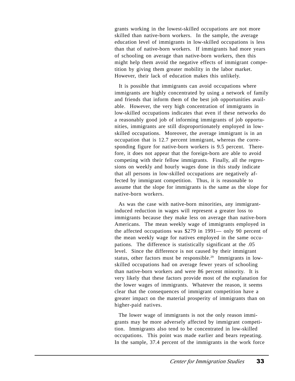grants working in the lowest-skilled occupations are not more skilled than native-born workers. In the sample, the average education level of immigrants in low-skilled occupations is less than that of native-born workers. If immigrants had more years of schooling on average than native-born workers, then this might help them avoid the negative effects of immigrant competition by giving them greater mobility in the labor market. However, their lack of education makes this unlikely.

 It is possible that immigrants can avoid occupations where immigrants are highly concentrated by using a network of family and friends that inform them of the best job opportunities available. However, the very high concentration of immigrants in low-skilled occupations indicates that even if these networks do a reasonably good job of informing immigrants of job opportunities, immigrants are still disproportionately employed in lowskilled occupations. Moreover, the average immigrant is in an occupation that is 12.7 percent immigrant, whereas the corresponding figure for native-born workers is 9.5 percent. Therefore, it does not appear that the foreign-born are able to avoid competing with their fellow immigrants. Finally, all the regressions on weekly and hourly wages done in this study indicate that all persons in low-skilled occupations are negatively affected by immigrant competition. Thus, it is reasonable to assume that the slope for immigrants is the same as the slope for native-born workers.

 As was the case with native-born minorities, any immigrantinduced reduction in wages will represent a greater loss to immigrants because they make less on average than native-born Americans. The mean weekly wage of immigrants employed in the affected occupations was \$279 in 1991— only 90 percent of the mean weekly wage for natives employed in the same occupations. The difference is statistically significant at the .05 level. Since the difference is not caused by their immigrant status, other factors must be responsible.<sup>29</sup> Immigrants in lowskilled occupations had on average fewer years of schooling than native-born workers and were 86 percent minority. It is very likely that these factors provide most of the explanation for the lower wages of immigrants. Whatever the reason, it seems clear that the consequences of immigrant competition have a greater impact on the material prosperity of immigrants than on higher-paid natives.

 The lower wage of immigrants is not the only reason immigrants may be more adversely affected by immigrant competition. Immigrants also tend to be concentrated in low-skilled occupations. This point was made earlier and bears repeating. In the sample, 37.4 percent of the immigrants in the work force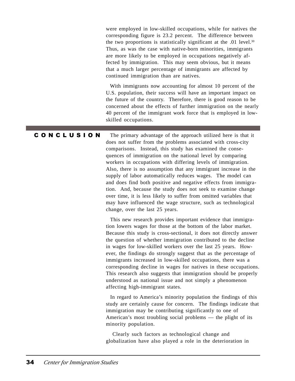were employed in low-skilled occupations, while for natives the corresponding figure is 23.2 percent. The difference between the two proportions is statistically significant at the  $.01$  level.<sup>30</sup> Thus, as was the case with native-born minorities, immigrants are more likely to be employed in occupations negatively affected by immigration. This may seem obvious, but it means that a much larger percentage of immigrants are affected by continued immigration than are natives.

 With immigrants now accounting for almost 10 percent of the U.S. population, their success will have an important impact on the future of the country. Therefore, there is good reason to be concerned about the effects of further immigration on the nearly 40 percent of the immigrant work force that is employed in lowskilled occupations.

The primary advantage of the approach utilized here is that it does not suffer from the problems associated with cross-city comparisons. Instead, this study has examined the consequences of immigration on the national level by comparing workers in occupations with differing levels of immigration. Also, there is no assumption that any immigrant increase in the supply of labor automatically reduces wages. The model can and does find both positive and negative effects from immigration. And, because the study does not seek to examine change over time, it is less likely to suffer from omitted variables that may have influenced the wage structure, such as technological change, over the last 25 years. C O N C L U S I O N

> This new research provides important evidence that immigration lowers wages for those at the bottom of the labor market. Because this study is cross-sectional, it does not directly answer the question of whether immigration contributed to the decline in wages for low-skilled workers over the last 25 years. However, the findings do strongly suggest that as the percentage of immigrants increased in low-skilled occupations, there was a corresponding decline in wages for natives in these occupations. This research also suggests that immigration should be properly understood as national issue and not simply a phenomenon affecting high-immigrant states.

> In regard to America's minority population the findings of this study are certainly cause for concern. The findings indicate that immigration may be contributing significantly to one of American's most troubling social problems — the plight of its minority population.

 Clearly such factors as technological change and globalization have also played a role in the deterioration in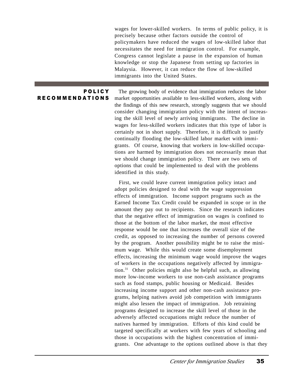wages for lower-skilled workers. In terms of public policy, it is precisely because other factors outside the control of policymakers have reduced the wages of low-skilled labor that necessitates the need for immigration control. For example, Congress cannot legislate a pause in the expansion of human knowledge or stop the Japanese from setting up factories in Malaysia. However, it can reduce the flow of low-skilled immigrants into the United States.

### P O L I C Y **RECOMMENDATIONS**

 The growing body of evidence that immigration reduces the labor market opportunities available to less-skilled workers, along with the findings of this new research, strongly suggests that we should consider changing immigration policy with the intent of increasing the skill level of newly arriving immigrants. The decline in wages for less-skilled workers indicates that this type of labor is certainly not in short supply. Therefore, it is difficult to justify continually flooding the low-skilled labor market with immigrants. Of course, knowing that workers in low-skilled occupations are harmed by immigration does not necessarily mean that we should change immigration policy. There are two sets of options that could be implemented to deal with the problems identified in this study.

 First, we could leave current immigration policy intact and adopt policies designed to deal with the wage suppression effects of immigration. Income support programs such as the Earned Income Tax Credit could be expanded in scope or in the amount they pay out to recipients. Since the research indicates that the negative effect of immigration on wages is confined to those at the bottom of the labor market, the most effective response would be one that increases the overall size of the credit, as opposed to increasing the number of persons covered by the program. Another possibility might be to raise the minimum wage. While this would create some disemployment effects, increasing the minimum wage would improve the wages of workers in the occupations negatively affected by immigration.31 Other policies might also be helpful such, as allowing more low-income workers to use non-cash assistance programs such as food stamps, public housing or Medicaid. Besides increasing income support and other non-cash assistance programs, helping natives avoid job competition with immigrants might also lessen the impact of immigration. Job retraining programs designed to increase the skill level of those in the adversely affected occupations might reduce the number of natives harmed by immigration. Efforts of this kind could be targeted specifically at workers with few years of schooling and those in occupations with the highest concentration of immigrants. One advantage to the options outlined above is that they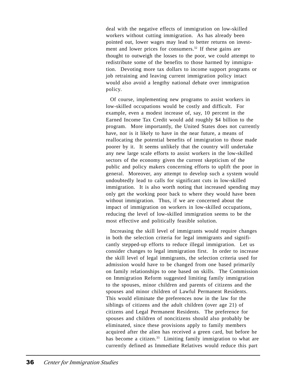deal with the negative effects of immigration on low-skilled workers without cutting immigration. As has already been pointed out, lower wages may lead to better returns on investment and lower prices for consumers.<sup>32</sup> If these gains are thought to outweigh the losses to the poor, we could attempt to redistribute some of the benefits to those harmed by immigration. Devoting more tax dollars to income support programs or job retraining and leaving current immigration policy intact would also avoid a lengthy national debate over immigration policy.

 Of course, implementing new programs to assist workers in low-skilled occupations would be costly and difficult. For example, even a modest increase of, say, 10 percent in the Earned Income Tax Credit would add roughly \$4 billion to the program. More importantly, the United States does not currently have, nor is it likely to have in the near future, a means of reallocating the potential benefits of immigration to those made poorer by it. It seems unlikely that the country will undertake any new large scale efforts to assist workers in the low-skilled sectors of the economy given the current skepticism of the public and policy makers concerning efforts to uplift the poor in general. Moreover, any attempt to develop such a system would undoubtedly lead to calls for significant cuts in low-skilled immigration. It is also worth noting that increased spending may only get the working poor back to where they would have been without immigration. Thus, if we are concerned about the impact of immigration on workers in low-skilled occupations, reducing the level of low-skilled immigration seems to be the most effective and politically feasible solution.

 Increasing the skill level of immigrants would require changes in both the selection criteria for legal immigrants and significantly stepped-up efforts to reduce illegal immigration. Let us consider changes to legal immigration first. In order to increase the skill level of legal immigrants, the selection criteria used for admission would have to be changed from one based primarily on family relationships to one based on skills. The Commission on Immigration Reform suggested limiting family immigration to the spouses, minor children and parents of citizens and the spouses and minor children of Lawful Permanent Residents. This would eliminate the preferences now in the law for the siblings of citizens and the adult children (over age 21) of citizens and Legal Permanent Residents. The preference for spouses and children of noncitizens should also probably be eliminated, since these provisions apply to family members acquired after the alien has received a green card, but before he has become a citizen.<sup>33</sup> Limiting family immigration to what are currently defined as Immediate Relatives would reduce this part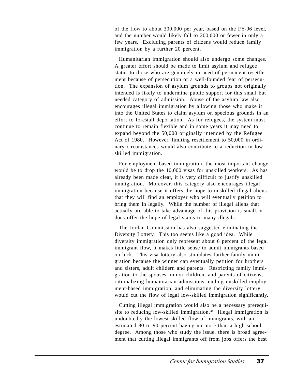of the flow to about 300,000 per year, based on the FY-96 level, and the number would likely fall to 200,000 or fewer in only a few years. Excluding parents of citizens would reduce family immigration by a further 20 percent.

 Humanitarian immigration should also undergo some changes. A greater effort should be made to limit asylum and refugee status to those who are genuinely in need of permanent resettlement because of persecution or a well-founded fear of persecution. The expansion of asylum grounds to groups not originally intended is likely to undermine public support for this small but needed category of admission. Abuse of the asylum law also encourages illegal immigration by allowing those who make it into the United States to claim asylum on specious grounds in an effort to forestall deportation. As for refugees, the system must continue to remain flexible and in some years it may need to expand beyond the 50,000 originally intended by the Refugee Act of 1980. However, limiting resettlement to 50,000 in ordinary circumstances would also contribute to a reduction in lowskilled immigration.

 For employment-based immigration, the most important change would be to drop the 10,000 visas for unskilled workers. As has already been made clear, it is very difficult to justify unskilled immigration. Moreover, this category also encourages illegal immigration because it offers the hope to unskilled illegal aliens that they will find an employer who will eventually petition to bring them in legally. While the number of illegal aliens that actually are able to take advantage of this provision is small, it does offer the hope of legal status to many illegals.

 The Jordan Commission has also suggested eliminating the Diversity Lottery. This too seems like a good idea. While diversity immigration only represent about 6 percent of the legal immigrant flow, it makes little sense to admit immigrants based on luck. This visa lottery also stimulates further family immigration because the winner can eventually petition for brothers and sisters, adult childern and parents. Restricting family immigration to the spouses, minor children, and parents of citizens, rationalizing humanitarian admissions, ending unskilled employment-based immigration, and eliminating the diversity lottery would cut the flow of legal low-skilled immigration significantly.

 Cutting illegal immigration would also be a necessary prerequisite to reducing low-skilled immigration.<sup>34</sup> Illegal immigration is undoubtedly the lowest-skilled flow of immigrants, with an estimated 80 to 90 percent having no more than a high school degree. Among those who study the issue, there is broad agreement that cutting illegal immigrants off from jobs offers the best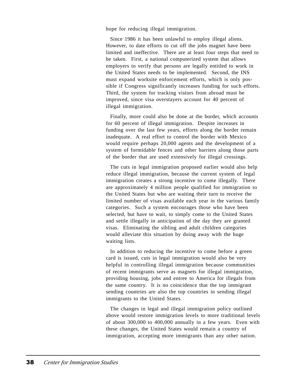hope for reducing illegal immigration.

 Since 1986 it has been unlawful to employ illegal aliens. However, to date efforts to cut off the jobs magnet have been limited and ineffective. There are at least four steps that need to be taken. First, a national computerized system that allows employers to verify that persons are legally entitled to work in the United States needs to be implemented. Second, the INS must expand worksite enforcement efforts, which is only possible if Congress significantly increases funding for such efforts. Third, the system for tracking vistors from abroad must be improved, since visa overstayers account for 40 percent of illegal immigration.

 Finally, more could also be done at the border, which accounts for 60 percent of illegal immigration. Despite increases in funding over the last few years, efforts along the border remain inadequate. A real effort to control the border with Mexico would require perhaps 20,000 agents and the development of a system of formidable fences and other barriers along those parts of the border that are used extensively for illegal crossings.

 The cuts in legal immigration proposed earlier would also help reduce illegal immigration, because the current system of legal immigration creates a strong incentive to come illegally. There are approximately 4 million people qualified for immigration to the United States but who are waiting their turn to receive the limited number of visas available each year in the various family categories. Such a system encourages those who have been selected, but have to wait, to simply come to the United States and settle illegally in anticipation of the day they are granted visas. Eliminating the sibling and adult children categories would alleviate this situation by doing away with the huge waiting lists.

 In addition to reducing the incentive to come before a green card is issued, cuts in legal immigration would also be very helpful in controlling illegal immigration because communities of recent immigrants serve as magnets for illegal immigration, providing housing, jobs and entree to America for illegals from the same country. It is no coincidence that the top immigrant sending countries are also the top countries in sending illegal immigrants to the United States.

 The changes in legal and illegal immigration policy outlined above would restore immigration levels to more traditional levels of about 300,000 to 400,000 annually in a few years. Even with these changes, the United States would remain a country of immigration, accepting more immigrants than any other nation.